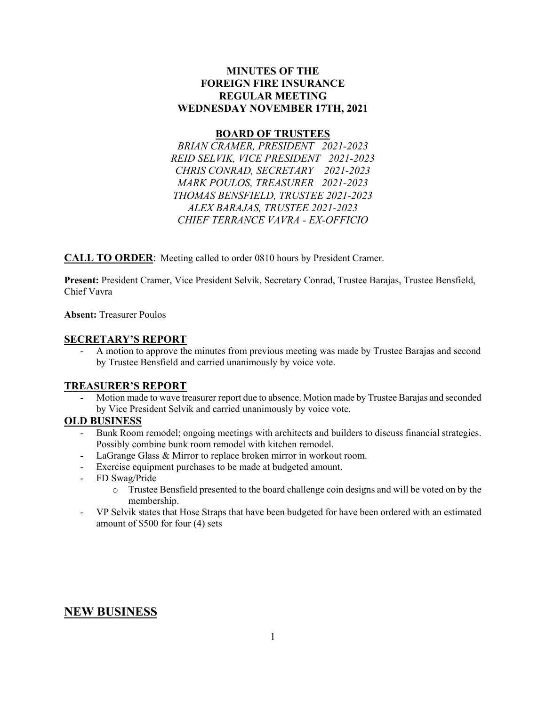### **MINUTES OF THE FOREIGN FIRE INSURANCE REGULAR MEETING WEDNESDAY NOVEMBER 17TH, 2021**

#### **BOARD OF TRUSTEES**

*BRIAN CRAMER, PRESIDENT 2021-2023 REID SELVIK, VICE PRESIDENT 2021-2023 CHRIS CONRAD, SECRETARY 2021-2023 MARK POULOS, TREASURER 2021-2023 THOMAS BENSFIELD, TRUSTEE 2021-2023 ALEX BARAJAS, TRUSTEE 2021-2023 CHIEF TERRANCE VAVRA - EX-OFFICIO* 

**CALL TO ORDER**: Meeting called to order 0810 hours by President Cramer.

**Present:** President Cramer, Vice President Selvik, Secretary Conrad, Trustee Barajas, Trustee Bensfield, Chief Vavra

**Absent:** Treasurer Poulos

#### **SECRETARY'S REPORT**

- A motion to approve the minutes from previous meeting was made by Trustee Barajas and second by Trustee Bensfield and carried unanimously by voice vote.

### **TREASURER'S REPORT**

Motion made to wave treasurer report due to absence. Motion made by Trustee Barajas and seconded by Vice President Selvik and carried unanimously by voice vote.

### **OLD BUSINESS**

- Bunk Room remodel; ongoing meetings with architects and builders to discuss financial strategies. Possibly combine bunk room remodel with kitchen remodel.
- LaGrange Glass & Mirror to replace broken mirror in workout room.
- Exercise equipment purchases to be made at budgeted amount.
- FD Swag/Pride
	- o Trustee Bensfield presented to the board challenge coin designs and will be voted on by the membership.
- VP Selvik states that Hose Straps that have been budgeted for have been ordered with an estimated amount of \$500 for four (4) sets

## **NEW BUSINESS**